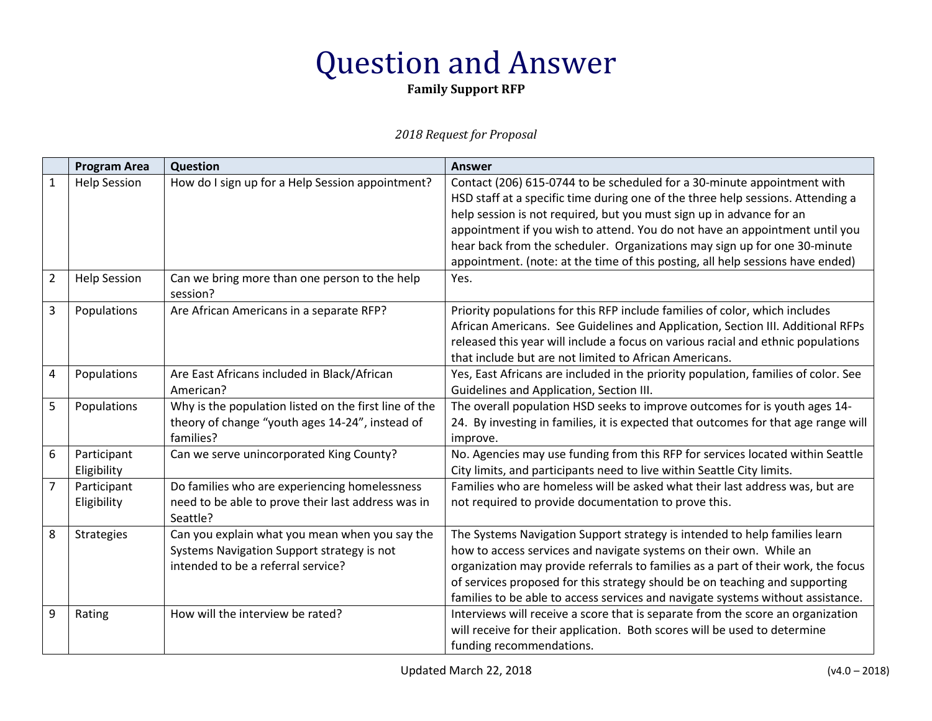**Family Support RFP**

|                | <b>Program Area</b> | Question                                                       | <b>Answer</b>                                                                      |
|----------------|---------------------|----------------------------------------------------------------|------------------------------------------------------------------------------------|
| $\mathbf{1}$   | <b>Help Session</b> | How do I sign up for a Help Session appointment?               | Contact (206) 615-0744 to be scheduled for a 30-minute appointment with            |
|                |                     |                                                                | HSD staff at a specific time during one of the three help sessions. Attending a    |
|                |                     |                                                                | help session is not required, but you must sign up in advance for an               |
|                |                     |                                                                | appointment if you wish to attend. You do not have an appointment until you        |
|                |                     |                                                                | hear back from the scheduler. Organizations may sign up for one 30-minute          |
|                |                     |                                                                | appointment. (note: at the time of this posting, all help sessions have ended)     |
| $\overline{2}$ | <b>Help Session</b> | Can we bring more than one person to the help<br>session?      | Yes.                                                                               |
| 3              | Populations         | Are African Americans in a separate RFP?                       | Priority populations for this RFP include families of color, which includes        |
|                |                     |                                                                | African Americans. See Guidelines and Application, Section III. Additional RFPs    |
|                |                     |                                                                | released this year will include a focus on various racial and ethnic populations   |
|                |                     |                                                                | that include but are not limited to African Americans.                             |
| $\overline{4}$ | Populations         | Are East Africans included in Black/African                    | Yes, East Africans are included in the priority population, families of color. See |
|                |                     | American?                                                      | Guidelines and Application, Section III.                                           |
| 5              | Populations         | Why is the population listed on the first line of the          | The overall population HSD seeks to improve outcomes for is youth ages 14-         |
|                |                     | theory of change "youth ages 14-24", instead of                | 24. By investing in families, it is expected that outcomes for that age range will |
|                |                     | families?                                                      | improve.                                                                           |
| 6              | Participant         | Can we serve unincorporated King County?                       | No. Agencies may use funding from this RFP for services located within Seattle     |
|                | Eligibility         |                                                                | City limits, and participants need to live within Seattle City limits.             |
| $\overline{7}$ | Participant         | Do families who are experiencing homelessness                  | Families who are homeless will be asked what their last address was, but are       |
|                | Eligibility         | need to be able to prove their last address was in<br>Seattle? | not required to provide documentation to prove this.                               |
| 8              | <b>Strategies</b>   | Can you explain what you mean when you say the                 | The Systems Navigation Support strategy is intended to help families learn         |
|                |                     | Systems Navigation Support strategy is not                     | how to access services and navigate systems on their own. While an                 |
|                |                     | intended to be a referral service?                             | organization may provide referrals to families as a part of their work, the focus  |
|                |                     |                                                                | of services proposed for this strategy should be on teaching and supporting        |
|                |                     |                                                                | families to be able to access services and navigate systems without assistance.    |
| 9              | Rating              | How will the interview be rated?                               | Interviews will receive a score that is separate from the score an organization    |
|                |                     |                                                                | will receive for their application. Both scores will be used to determine          |
|                |                     |                                                                | funding recommendations.                                                           |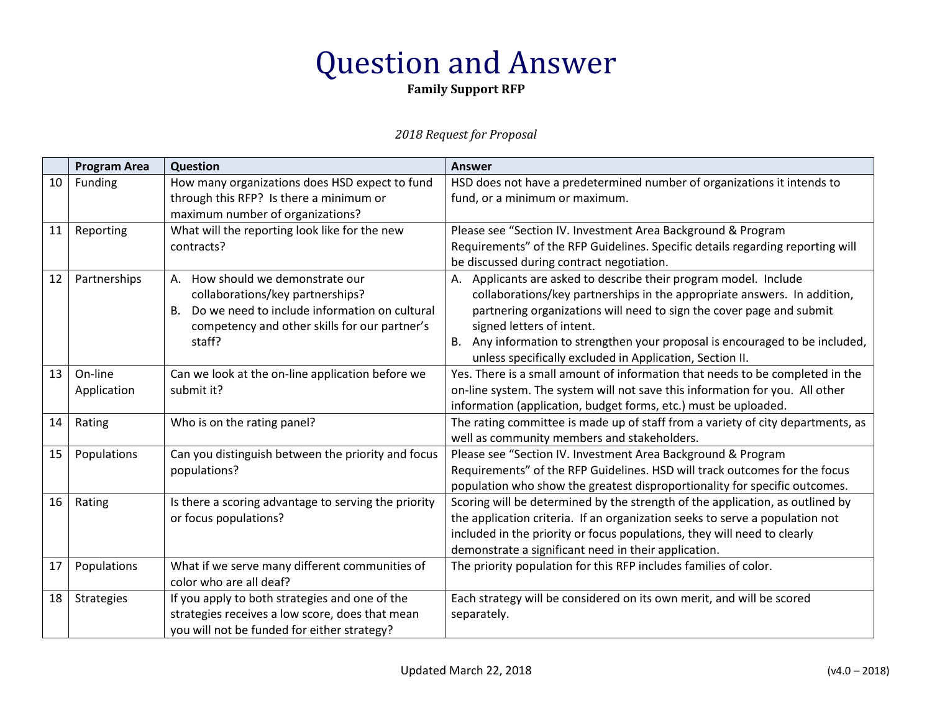**Family Support RFP**

|    | <b>Program Area</b> | Question                                                   | <b>Answer</b>                                                                                                                                               |
|----|---------------------|------------------------------------------------------------|-------------------------------------------------------------------------------------------------------------------------------------------------------------|
| 10 | Funding             | How many organizations does HSD expect to fund             | HSD does not have a predetermined number of organizations it intends to                                                                                     |
|    |                     | through this RFP? Is there a minimum or                    | fund, or a minimum or maximum.                                                                                                                              |
|    |                     | maximum number of organizations?                           |                                                                                                                                                             |
| 11 | Reporting           | What will the reporting look like for the new              | Please see "Section IV. Investment Area Background & Program                                                                                                |
|    |                     | contracts?                                                 | Requirements" of the RFP Guidelines. Specific details regarding reporting will                                                                              |
|    |                     |                                                            | be discussed during contract negotiation.                                                                                                                   |
| 12 | Partnerships        | How should we demonstrate our<br>А.                        | Applicants are asked to describe their program model. Include<br>А.                                                                                         |
|    |                     | collaborations/key partnerships?                           | collaborations/key partnerships in the appropriate answers. In addition,                                                                                    |
|    |                     | Do we need to include information on cultural<br><b>B.</b> | partnering organizations will need to sign the cover page and submit                                                                                        |
|    |                     | competency and other skills for our partner's              | signed letters of intent.                                                                                                                                   |
|    |                     | staff?                                                     | Any information to strengthen your proposal is encouraged to be included,<br>В.                                                                             |
|    |                     |                                                            | unless specifically excluded in Application, Section II.                                                                                                    |
| 13 | On-line             | Can we look at the on-line application before we           | Yes. There is a small amount of information that needs to be completed in the                                                                               |
|    | Application         | submit it?                                                 | on-line system. The system will not save this information for you. All other                                                                                |
|    |                     |                                                            | information (application, budget forms, etc.) must be uploaded.                                                                                             |
| 14 | Rating              | Who is on the rating panel?                                | The rating committee is made up of staff from a variety of city departments, as                                                                             |
|    |                     |                                                            | well as community members and stakeholders.                                                                                                                 |
| 15 | Populations         | Can you distinguish between the priority and focus         | Please see "Section IV. Investment Area Background & Program                                                                                                |
|    |                     | populations?                                               | Requirements" of the RFP Guidelines. HSD will track outcomes for the focus                                                                                  |
| 16 | Rating              | Is there a scoring advantage to serving the priority       | population who show the greatest disproportionality for specific outcomes.<br>Scoring will be determined by the strength of the application, as outlined by |
|    |                     | or focus populations?                                      | the application criteria. If an organization seeks to serve a population not                                                                                |
|    |                     |                                                            | included in the priority or focus populations, they will need to clearly                                                                                    |
|    |                     |                                                            | demonstrate a significant need in their application.                                                                                                        |
| 17 | Populations         | What if we serve many different communities of             | The priority population for this RFP includes families of color.                                                                                            |
|    |                     | color who are all deaf?                                    |                                                                                                                                                             |
| 18 | Strategies          | If you apply to both strategies and one of the             | Each strategy will be considered on its own merit, and will be scored                                                                                       |
|    |                     | strategies receives a low score, does that mean            | separately.                                                                                                                                                 |
|    |                     | you will not be funded for either strategy?                |                                                                                                                                                             |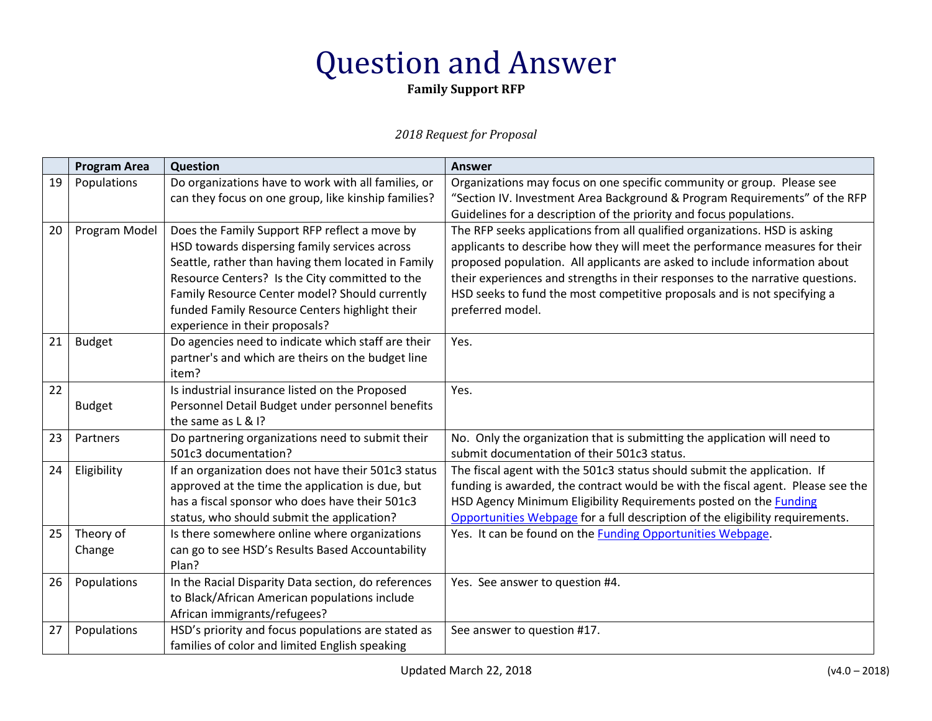**Family Support RFP**

|    | <b>Program Area</b> | <b>Question</b>                                     | <b>Answer</b>                                                                   |
|----|---------------------|-----------------------------------------------------|---------------------------------------------------------------------------------|
| 19 | Populations         | Do organizations have to work with all families, or | Organizations may focus on one specific community or group. Please see          |
|    |                     | can they focus on one group, like kinship families? | "Section IV. Investment Area Background & Program Requirements" of the RFP      |
|    |                     |                                                     | Guidelines for a description of the priority and focus populations.             |
| 20 | Program Model       | Does the Family Support RFP reflect a move by       | The RFP seeks applications from all qualified organizations. HSD is asking      |
|    |                     | HSD towards dispersing family services across       | applicants to describe how they will meet the performance measures for their    |
|    |                     | Seattle, rather than having them located in Family  | proposed population. All applicants are asked to include information about      |
|    |                     | Resource Centers? Is the City committed to the      | their experiences and strengths in their responses to the narrative questions.  |
|    |                     | Family Resource Center model? Should currently      | HSD seeks to fund the most competitive proposals and is not specifying a        |
|    |                     | funded Family Resource Centers highlight their      | preferred model.                                                                |
|    |                     | experience in their proposals?                      |                                                                                 |
| 21 | <b>Budget</b>       | Do agencies need to indicate which staff are their  | Yes.                                                                            |
|    |                     | partner's and which are theirs on the budget line   |                                                                                 |
|    |                     | item?                                               |                                                                                 |
| 22 |                     | Is industrial insurance listed on the Proposed      | Yes.                                                                            |
|    | <b>Budget</b>       | Personnel Detail Budget under personnel benefits    |                                                                                 |
|    |                     | the same as L & I?                                  |                                                                                 |
| 23 | Partners            | Do partnering organizations need to submit their    | No. Only the organization that is submitting the application will need to       |
|    |                     | 501c3 documentation?                                | submit documentation of their 501c3 status.                                     |
| 24 | Eligibility         | If an organization does not have their 501c3 status | The fiscal agent with the 501c3 status should submit the application. If        |
|    |                     | approved at the time the application is due, but    | funding is awarded, the contract would be with the fiscal agent. Please see the |
|    |                     | has a fiscal sponsor who does have their 501c3      | HSD Agency Minimum Eligibility Requirements posted on the <b>Funding</b>        |
|    |                     | status, who should submit the application?          | Opportunities Webpage for a full description of the eligibility requirements.   |
| 25 | Theory of           | Is there somewhere online where organizations       | Yes. It can be found on the <b>Funding Opportunities Webpage</b> .              |
|    | Change              | can go to see HSD's Results Based Accountability    |                                                                                 |
|    |                     | Plan?                                               |                                                                                 |
| 26 | Populations         | In the Racial Disparity Data section, do references | Yes. See answer to question #4.                                                 |
|    |                     | to Black/African American populations include       |                                                                                 |
|    |                     | African immigrants/refugees?                        |                                                                                 |
| 27 | Populations         | HSD's priority and focus populations are stated as  | See answer to question #17.                                                     |
|    |                     | families of color and limited English speaking      |                                                                                 |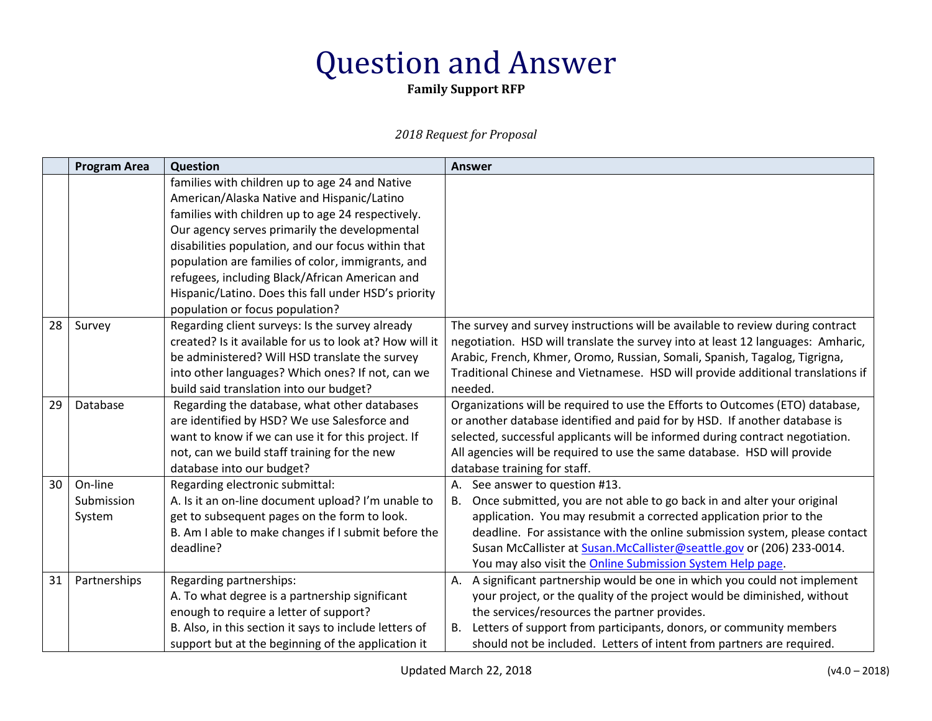**Family Support RFP**

|    | <b>Program Area</b> | <b>Question</b>                                         | <b>Answer</b>                                                                   |
|----|---------------------|---------------------------------------------------------|---------------------------------------------------------------------------------|
|    |                     | families with children up to age 24 and Native          |                                                                                 |
|    |                     | American/Alaska Native and Hispanic/Latino              |                                                                                 |
|    |                     | families with children up to age 24 respectively.       |                                                                                 |
|    |                     | Our agency serves primarily the developmental           |                                                                                 |
|    |                     | disabilities population, and our focus within that      |                                                                                 |
|    |                     | population are families of color, immigrants, and       |                                                                                 |
|    |                     | refugees, including Black/African American and          |                                                                                 |
|    |                     | Hispanic/Latino. Does this fall under HSD's priority    |                                                                                 |
|    |                     | population or focus population?                         |                                                                                 |
| 28 | Survey              | Regarding client surveys: Is the survey already         | The survey and survey instructions will be available to review during contract  |
|    |                     | created? Is it available for us to look at? How will it | negotiation. HSD will translate the survey into at least 12 languages: Amharic, |
|    |                     | be administered? Will HSD translate the survey          | Arabic, French, Khmer, Oromo, Russian, Somali, Spanish, Tagalog, Tigrigna,      |
|    |                     | into other languages? Which ones? If not, can we        | Traditional Chinese and Vietnamese. HSD will provide additional translations if |
|    |                     | build said translation into our budget?                 | needed.                                                                         |
| 29 | Database            | Regarding the database, what other databases            | Organizations will be required to use the Efforts to Outcomes (ETO) database,   |
|    |                     | are identified by HSD? We use Salesforce and            | or another database identified and paid for by HSD. If another database is      |
|    |                     | want to know if we can use it for this project. If      | selected, successful applicants will be informed during contract negotiation.   |
|    |                     | not, can we build staff training for the new            | All agencies will be required to use the same database. HSD will provide        |
|    |                     | database into our budget?                               | database training for staff.                                                    |
| 30 | On-line             | Regarding electronic submittal:                         | See answer to question #13.<br>А.                                               |
|    | Submission          | A. Is it an on-line document upload? I'm unable to      | Once submitted, you are not able to go back in and alter your original<br>В.    |
|    | System              | get to subsequent pages on the form to look.            | application. You may resubmit a corrected application prior to the              |
|    |                     | B. Am I able to make changes if I submit before the     | deadline. For assistance with the online submission system, please contact      |
|    |                     | deadline?                                               | Susan McCallister at Susan.McCallister@seattle.gov or (206) 233-0014.           |
|    |                     |                                                         | You may also visit the <b>Online Submission System Help page</b> .              |
| 31 | Partnerships        | Regarding partnerships:                                 | A significant partnership would be one in which you could not implement<br>А.   |
|    |                     | A. To what degree is a partnership significant          | your project, or the quality of the project would be diminished, without        |
|    |                     | enough to require a letter of support?                  | the services/resources the partner provides.                                    |
|    |                     | B. Also, in this section it says to include letters of  | Letters of support from participants, donors, or community members<br>В.        |
|    |                     | support but at the beginning of the application it      | should not be included. Letters of intent from partners are required.           |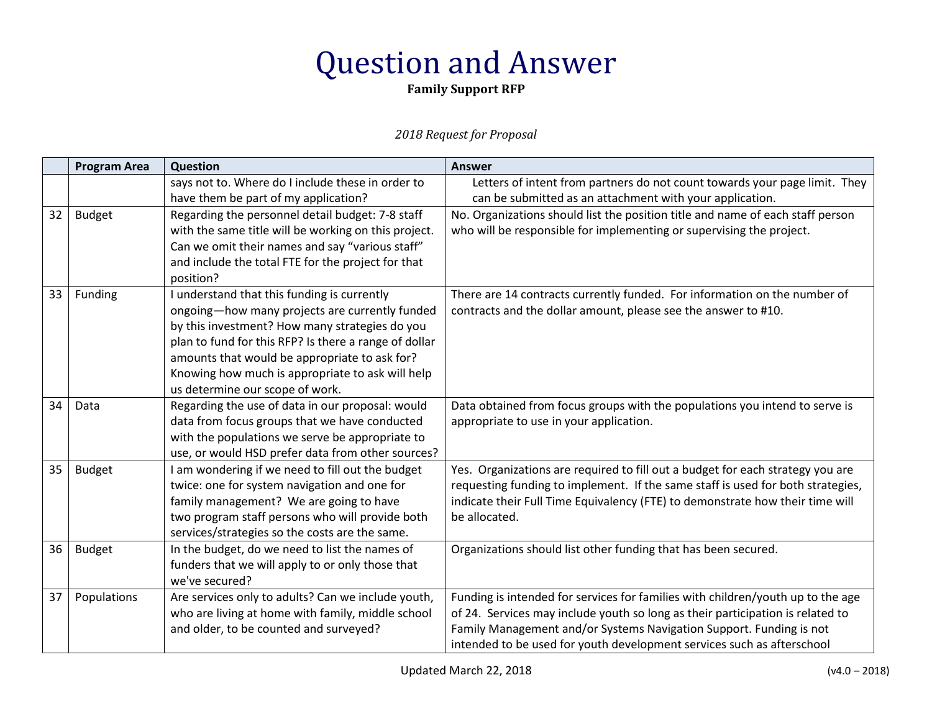**Family Support RFP**

|    | <b>Program Area</b> | Question                                                                                | <b>Answer</b>                                                                                                                                                     |
|----|---------------------|-----------------------------------------------------------------------------------------|-------------------------------------------------------------------------------------------------------------------------------------------------------------------|
|    |                     | says not to. Where do I include these in order to                                       | Letters of intent from partners do not count towards your page limit. They                                                                                        |
|    |                     | have them be part of my application?                                                    | can be submitted as an attachment with your application.                                                                                                          |
| 32 | <b>Budget</b>       | Regarding the personnel detail budget: 7-8 staff                                        | No. Organizations should list the position title and name of each staff person                                                                                    |
|    |                     | with the same title will be working on this project.                                    | who will be responsible for implementing or supervising the project.                                                                                              |
|    |                     | Can we omit their names and say "various staff"                                         |                                                                                                                                                                   |
|    |                     | and include the total FTE for the project for that                                      |                                                                                                                                                                   |
|    |                     | position?                                                                               |                                                                                                                                                                   |
| 33 | Funding             | I understand that this funding is currently                                             | There are 14 contracts currently funded. For information on the number of                                                                                         |
|    |                     | ongoing-how many projects are currently funded                                          | contracts and the dollar amount, please see the answer to #10.                                                                                                    |
|    |                     | by this investment? How many strategies do you                                          |                                                                                                                                                                   |
|    |                     | plan to fund for this RFP? Is there a range of dollar                                   |                                                                                                                                                                   |
|    |                     | amounts that would be appropriate to ask for?                                           |                                                                                                                                                                   |
|    |                     | Knowing how much is appropriate to ask will help                                        |                                                                                                                                                                   |
|    |                     | us determine our scope of work.                                                         |                                                                                                                                                                   |
| 34 | Data                | Regarding the use of data in our proposal: would                                        | Data obtained from focus groups with the populations you intend to serve is                                                                                       |
|    |                     | data from focus groups that we have conducted                                           | appropriate to use in your application.                                                                                                                           |
|    |                     | with the populations we serve be appropriate to                                         |                                                                                                                                                                   |
|    |                     | use, or would HSD prefer data from other sources?                                       |                                                                                                                                                                   |
| 35 | <b>Budget</b>       | I am wondering if we need to fill out the budget                                        | Yes. Organizations are required to fill out a budget for each strategy you are<br>requesting funding to implement. If the same staff is used for both strategies, |
|    |                     | twice: one for system navigation and one for<br>family management? We are going to have | indicate their Full Time Equivalency (FTE) to demonstrate how their time will                                                                                     |
|    |                     | two program staff persons who will provide both                                         | be allocated.                                                                                                                                                     |
|    |                     | services/strategies so the costs are the same.                                          |                                                                                                                                                                   |
| 36 | <b>Budget</b>       | In the budget, do we need to list the names of                                          | Organizations should list other funding that has been secured.                                                                                                    |
|    |                     | funders that we will apply to or only those that                                        |                                                                                                                                                                   |
|    |                     | we've secured?                                                                          |                                                                                                                                                                   |
| 37 | Populations         | Are services only to adults? Can we include youth,                                      | Funding is intended for services for families with children/youth up to the age                                                                                   |
|    |                     | who are living at home with family, middle school                                       | of 24. Services may include youth so long as their participation is related to                                                                                    |
|    |                     | and older, to be counted and surveyed?                                                  | Family Management and/or Systems Navigation Support. Funding is not                                                                                               |
|    |                     |                                                                                         | intended to be used for youth development services such as afterschool                                                                                            |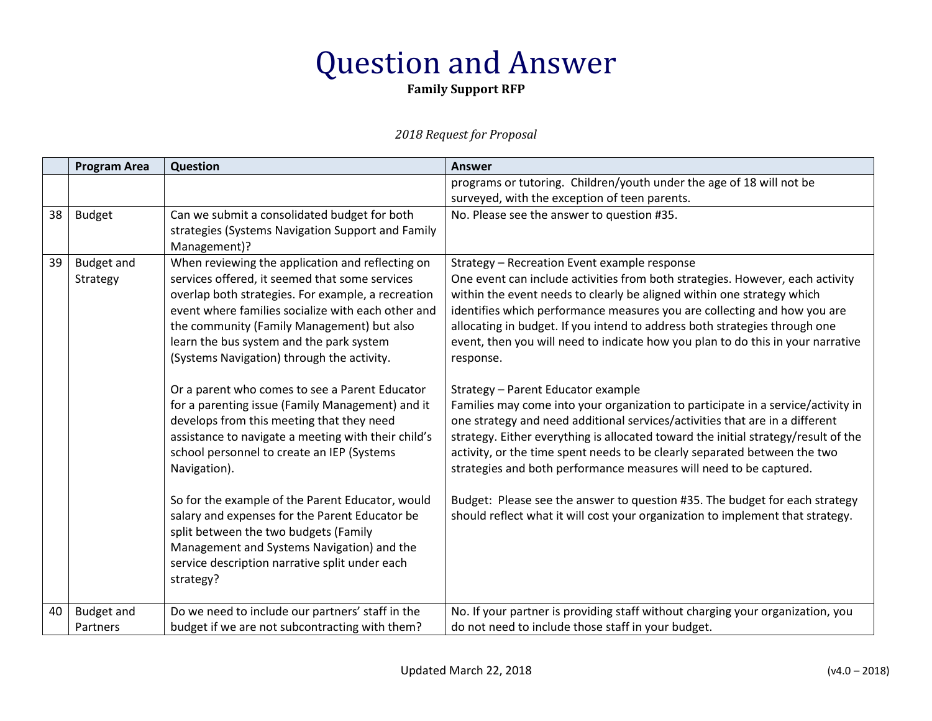**Family Support RFP**

|    | <b>Program Area</b>           | Question                                                                                                                                                                                                                                                                                                                                                                                                                                                                                                                                                                                                                                                                                                                                                                                                                                                                                   | <b>Answer</b>                                                                                                                                                                                                                                                                                                                                                                                                                                                                                                                                                                                                                                                                                                                                                                                                                                                                                                                                                                                                                                                                         |
|----|-------------------------------|--------------------------------------------------------------------------------------------------------------------------------------------------------------------------------------------------------------------------------------------------------------------------------------------------------------------------------------------------------------------------------------------------------------------------------------------------------------------------------------------------------------------------------------------------------------------------------------------------------------------------------------------------------------------------------------------------------------------------------------------------------------------------------------------------------------------------------------------------------------------------------------------|---------------------------------------------------------------------------------------------------------------------------------------------------------------------------------------------------------------------------------------------------------------------------------------------------------------------------------------------------------------------------------------------------------------------------------------------------------------------------------------------------------------------------------------------------------------------------------------------------------------------------------------------------------------------------------------------------------------------------------------------------------------------------------------------------------------------------------------------------------------------------------------------------------------------------------------------------------------------------------------------------------------------------------------------------------------------------------------|
|    |                               |                                                                                                                                                                                                                                                                                                                                                                                                                                                                                                                                                                                                                                                                                                                                                                                                                                                                                            | programs or tutoring. Children/youth under the age of 18 will not be<br>surveyed, with the exception of teen parents.                                                                                                                                                                                                                                                                                                                                                                                                                                                                                                                                                                                                                                                                                                                                                                                                                                                                                                                                                                 |
| 38 | <b>Budget</b>                 | Can we submit a consolidated budget for both<br>strategies (Systems Navigation Support and Family<br>Management)?                                                                                                                                                                                                                                                                                                                                                                                                                                                                                                                                                                                                                                                                                                                                                                          | No. Please see the answer to question #35.                                                                                                                                                                                                                                                                                                                                                                                                                                                                                                                                                                                                                                                                                                                                                                                                                                                                                                                                                                                                                                            |
| 39 | <b>Budget and</b><br>Strategy | When reviewing the application and reflecting on<br>services offered, it seemed that some services<br>overlap both strategies. For example, a recreation<br>event where families socialize with each other and<br>the community (Family Management) but also<br>learn the bus system and the park system<br>(Systems Navigation) through the activity.<br>Or a parent who comes to see a Parent Educator<br>for a parenting issue (Family Management) and it<br>develops from this meeting that they need<br>assistance to navigate a meeting with their child's<br>school personnel to create an IEP (Systems<br>Navigation).<br>So for the example of the Parent Educator, would<br>salary and expenses for the Parent Educator be<br>split between the two budgets (Family<br>Management and Systems Navigation) and the<br>service description narrative split under each<br>strategy? | Strategy - Recreation Event example response<br>One event can include activities from both strategies. However, each activity<br>within the event needs to clearly be aligned within one strategy which<br>identifies which performance measures you are collecting and how you are<br>allocating in budget. If you intend to address both strategies through one<br>event, then you will need to indicate how you plan to do this in your narrative<br>response.<br>Strategy - Parent Educator example<br>Families may come into your organization to participate in a service/activity in<br>one strategy and need additional services/activities that are in a different<br>strategy. Either everything is allocated toward the initial strategy/result of the<br>activity, or the time spent needs to be clearly separated between the two<br>strategies and both performance measures will need to be captured.<br>Budget: Please see the answer to question #35. The budget for each strategy<br>should reflect what it will cost your organization to implement that strategy. |
| 40 | <b>Budget and</b><br>Partners | Do we need to include our partners' staff in the<br>budget if we are not subcontracting with them?                                                                                                                                                                                                                                                                                                                                                                                                                                                                                                                                                                                                                                                                                                                                                                                         | No. If your partner is providing staff without charging your organization, you<br>do not need to include those staff in your budget.                                                                                                                                                                                                                                                                                                                                                                                                                                                                                                                                                                                                                                                                                                                                                                                                                                                                                                                                                  |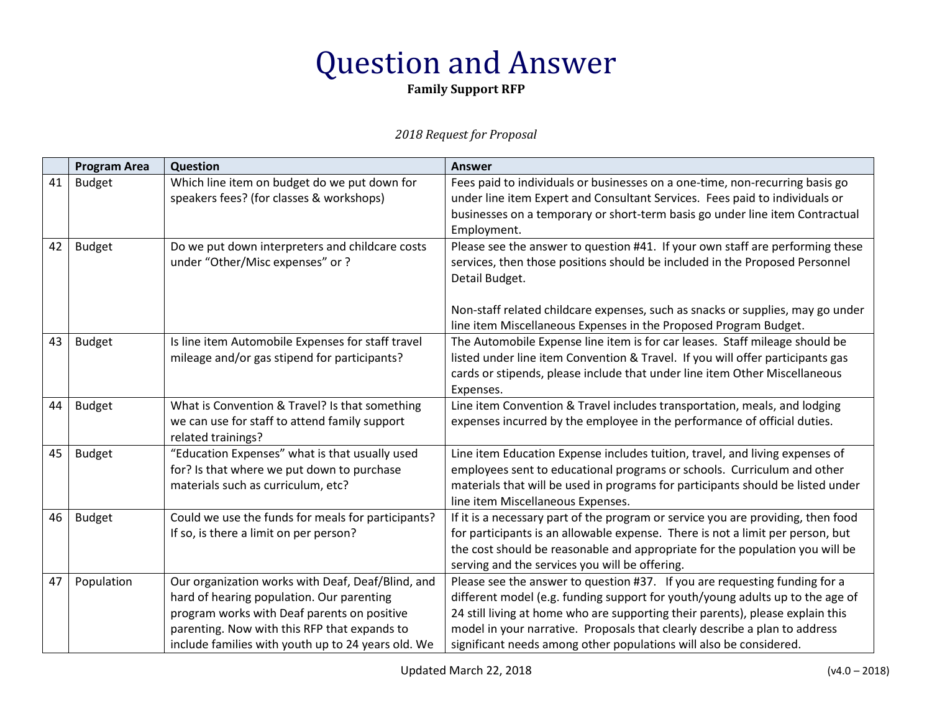**Family Support RFP**

|    | <b>Program Area</b> | <b>Question</b>                                                                                                                                                                                                                                     | <b>Answer</b>                                                                                                                                                                                                                                                                                                                                                                                     |
|----|---------------------|-----------------------------------------------------------------------------------------------------------------------------------------------------------------------------------------------------------------------------------------------------|---------------------------------------------------------------------------------------------------------------------------------------------------------------------------------------------------------------------------------------------------------------------------------------------------------------------------------------------------------------------------------------------------|
| 41 | <b>Budget</b>       | Which line item on budget do we put down for<br>speakers fees? (for classes & workshops)                                                                                                                                                            | Fees paid to individuals or businesses on a one-time, non-recurring basis go<br>under line item Expert and Consultant Services. Fees paid to individuals or<br>businesses on a temporary or short-term basis go under line item Contractual<br>Employment.                                                                                                                                        |
| 42 | <b>Budget</b>       | Do we put down interpreters and childcare costs<br>under "Other/Misc expenses" or?                                                                                                                                                                  | Please see the answer to question #41. If your own staff are performing these<br>services, then those positions should be included in the Proposed Personnel<br>Detail Budget.<br>Non-staff related childcare expenses, such as snacks or supplies, may go under<br>line item Miscellaneous Expenses in the Proposed Program Budget.                                                              |
| 43 | <b>Budget</b>       | Is line item Automobile Expenses for staff travel<br>mileage and/or gas stipend for participants?                                                                                                                                                   | The Automobile Expense line item is for car leases. Staff mileage should be<br>listed under line item Convention & Travel. If you will offer participants gas<br>cards or stipends, please include that under line item Other Miscellaneous<br>Expenses.                                                                                                                                          |
| 44 | <b>Budget</b>       | What is Convention & Travel? Is that something<br>we can use for staff to attend family support<br>related trainings?                                                                                                                               | Line item Convention & Travel includes transportation, meals, and lodging<br>expenses incurred by the employee in the performance of official duties.                                                                                                                                                                                                                                             |
| 45 | <b>Budget</b>       | "Education Expenses" what is that usually used<br>for? Is that where we put down to purchase<br>materials such as curriculum, etc?                                                                                                                  | Line item Education Expense includes tuition, travel, and living expenses of<br>employees sent to educational programs or schools. Curriculum and other<br>materials that will be used in programs for participants should be listed under<br>line item Miscellaneous Expenses.                                                                                                                   |
| 46 | <b>Budget</b>       | Could we use the funds for meals for participants?<br>If so, is there a limit on per person?                                                                                                                                                        | If it is a necessary part of the program or service you are providing, then food<br>for participants is an allowable expense. There is not a limit per person, but<br>the cost should be reasonable and appropriate for the population you will be<br>serving and the services you will be offering.                                                                                              |
| 47 | Population          | Our organization works with Deaf, Deaf/Blind, and<br>hard of hearing population. Our parenting<br>program works with Deaf parents on positive<br>parenting. Now with this RFP that expands to<br>include families with youth up to 24 years old. We | Please see the answer to question #37. If you are requesting funding for a<br>different model (e.g. funding support for youth/young adults up to the age of<br>24 still living at home who are supporting their parents), please explain this<br>model in your narrative. Proposals that clearly describe a plan to address<br>significant needs among other populations will also be considered. |